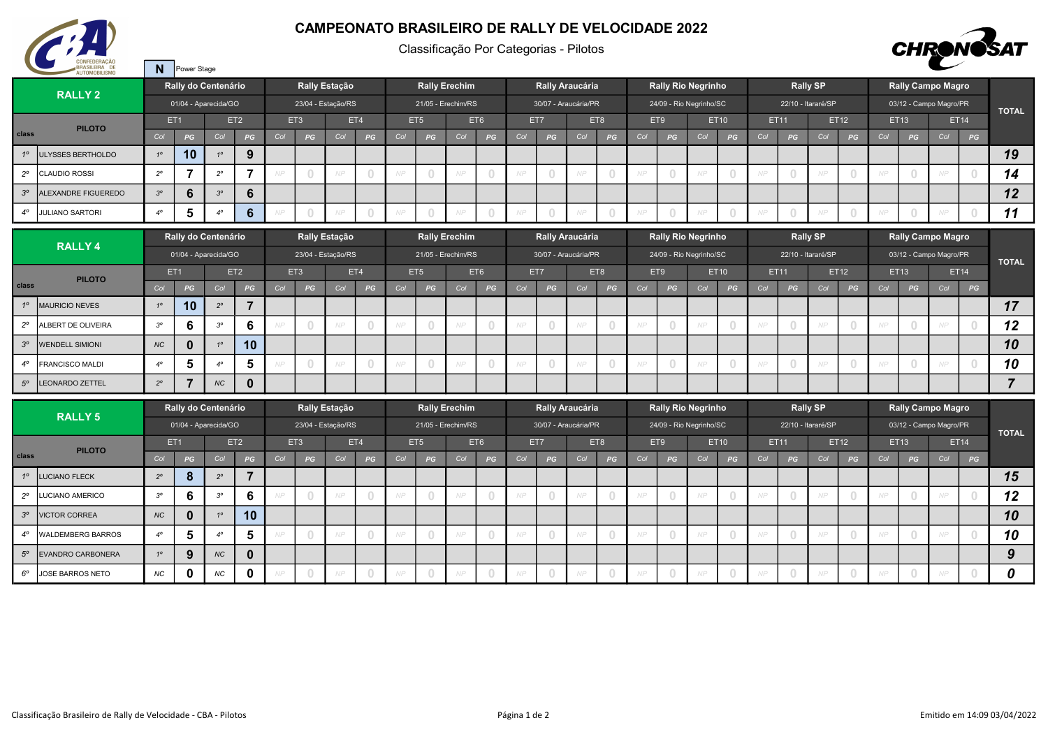

N Power Stage

## CAMPEONATO BRASILEIRO DE RALLY DE VELOCIDADE 2022

Classificação Por Categorias - Pilotos



| <b>RALLY 2</b> |                                 |                                    |                | Rally do Centenário |                                | Rally Estação      |                |               |                                  |                    |                                       | <b>Rally Erechim</b> |                                  |                 | Rally Araucária                  |     |                                       |     |                                       | <b>Rally Rio Negrinho</b> |                                  | <b>Rally SP</b>    |                                       |                 |                                 | <b>Rally Campo Magro</b> |                                  |      |                |                  |
|----------------|---------------------------------|------------------------------------|----------------|---------------------|--------------------------------|--------------------|----------------|---------------|----------------------------------|--------------------|---------------------------------------|----------------------|----------------------------------|-----------------|----------------------------------|-----|---------------------------------------|-----|---------------------------------------|---------------------------|----------------------------------|--------------------|---------------------------------------|-----------------|---------------------------------|--------------------------|----------------------------------|------|----------------|------------------|
|                |                                 | 01/04 - Aparecida/GO               |                |                     |                                | 23/04 - Estação/RS |                |               |                                  | 21/05 - Erechim/RS |                                       |                      |                                  |                 | 30/07 - Araucária/PR             |     |                                       |     |                                       | 24/09 - Rio Negrinho/SC   |                                  | 22/10 - Itararé/SP |                                       |                 |                                 | 03/12 - Campo Magro/PR   | <b>TOTAL</b>                     |      |                |                  |
|                | <b>PILOTO</b>                   | ET2<br>ET <sub>1</sub>             |                |                     | ET3<br>ET4                     |                    |                |               | ET5<br>ET6                       |                    |                                       |                      |                                  | ET7             |                                  | ET8 | ET9<br>ET10                           |     |                                       |                           | ET11<br>ET12                     |                    |                                       |                 |                                 | ET13                     |                                  | ET14 |                |                  |
| class          |                                 | Col                                | PG             | Col                 | PG                             | Col                | PG             | Col           | PG                               | Col                | PG                                    | Col                  | PG                               | Col             | PG                               | Col | PG                                    | Col | PG                                    | Col                       | PG                               | Col                | PG                                    | Col             | PG                              | Col                      | PG                               | Col  | PG             |                  |
| $1^{\circ}$    | <b>JLYSSES BERTHOLDO</b>        | $1^\circ$                          | 10             | $1^{\circ}$         | 9                              |                    |                |               |                                  |                    |                                       |                      |                                  |                 |                                  |     |                                       |     |                                       |                           |                                  |                    |                                       |                 |                                 |                          |                                  |      |                | 19               |
| $2^{\circ}$    | <b>CLAUDIO ROSSI</b>            | $2^{\circ}$                        | 7              | $2^{\circ}$         | $\overline{7}$                 |                    |                |               | $\overline{0}$                   | NP                 |                                       | NP                   | $\circ$                          | NP              | $\overline{0}$                   | NP  |                                       | NP  | $\mathbf{0}$                          | NP                        | $\theta$                         | NP.                | $\overline{0}$                        | NP              |                                 |                          | $\begin{array}{c} 0 \end{array}$ | NP.  | $\overline{0}$ | 14               |
| $3^{\circ}$    | <b>LEXANDRE FIGUEREDO</b>       | $3^{\circ}$                        | 6              | $3^{\circ}$         | $6\phantom{1}$                 |                    |                |               |                                  |                    |                                       |                      |                                  |                 |                                  |     |                                       |     |                                       |                           |                                  |                    |                                       |                 |                                 |                          |                                  |      |                | 12               |
| $4^\circ$      | <b>JULIANO SARTORI</b>          | $4^\circ$                          | 5              | $4^\circ$           | $6\phantom{1}$                 |                    | $\cap$         |               | $\begin{array}{c} \n\end{array}$ | NP                 |                                       | NP                   | $\overline{0}$                   | NP              | $\begin{array}{c} \n\end{array}$ | NP  | $\cup$                                | NP  | $\begin{array}{c} \n\end{array}$      | NP                        | $\begin{array}{c} \n\end{array}$ | NP.                | $\begin{array}{c} \n\end{array}$      | NP              |                                 | NP                       | $\overline{0}$                   | NP.  | $\cap$         | 11               |
|                |                                 | Rally do Centenário                |                |                     | Rally Estação                  |                    |                |               | <b>Rally Erechim</b>             |                    |                                       |                      | Rally Araucária                  |                 |                                  |     | <b>Rally Rio Negrinho</b>             |     |                                       |                           | <b>Rally SP</b>                  |                    |                                       |                 | <b>Rally Campo Magro</b>        |                          |                                  |      |                |                  |
| <b>RALLY4</b>  |                                 | 01/04 - Aparecida/GO               |                |                     | 23/04 - Estação/RS             |                    |                |               | 21/05 - Erechim/RS               |                    |                                       |                      | 30/07 - Araucária/PR             |                 |                                  |     |                                       |     | 24/09 - Rio Negrinho/SC               |                           |                                  | 22/10 - Itararé/SP |                                       |                 | 03/12 - Campo Magro/PR          |                          |                                  |      |                |                  |
|                | <b>PILOTO</b>                   | ET <sub>2</sub><br>ET <sub>1</sub> |                |                     |                                | ET3                |                | ET4           |                                  | ET5                | ET6                                   |                      | ET7                              |                 | ET8                              |     | ET9                                   |     | ET10                                  |                           |                                  | ET11               |                                       | ET12            |                                 | ET13                     |                                  | ET14 | <b>TOTAL</b>   |                  |
| class          |                                 | Col                                | PG             | Col                 | $\boldsymbol{P}\boldsymbol{G}$ | Col                | PG             | Col           | PG                               | Col                | PG                                    | Col                  | PG                               | Col             | $\boldsymbol{P}\boldsymbol{G}$   | Col | PG                                    | Col | $_{\it PG}$                           | Col                       | PG                               | Col                | PG                                    | Col             | $\boldsymbol{P} \boldsymbol{G}$ | Col                      | $\boldsymbol{P}\boldsymbol{G}$   | Col  | PG             |                  |
| $1^{\circ}$    | <b>MAURICIO NEVES</b>           | $1^\circ$                          | 10             | $2^{\circ}$         | $\overline{7}$                 |                    |                |               |                                  |                    |                                       |                      |                                  |                 |                                  |     |                                       |     |                                       |                           |                                  |                    |                                       |                 |                                 |                          |                                  |      |                | 17               |
| $2^{\circ}$    | ALBERT DE OLIVEIRA              | $3^{\circ}$                        | 6              | $3^{\circ}$         | 6                              |                    | $\overline{0}$ | NP            | $\overline{0}$                   | NP                 | $\begin{array}{c} 0 \\ 0 \end{array}$ | NP                   | $\mathbf{0}$                     | NP              | $\overline{0}$                   | NP  | $\begin{array}{c} 0 \\ 0 \end{array}$ | NP  | $\circ$                               | NP                        | $\circ$                          | NP.                | $\overline{0}$                        | NP              | $\cup$                          | NP                       | $\overline{0}$                   | NP   | $\overline{0}$ | 12               |
| $3^{\circ}$    | <b><i>NENDELL SIMIONI</i></b>   | NC                                 | $\mathbf 0$    | $1^{\circ}$         | 10                             |                    |                |               |                                  |                    |                                       |                      |                                  |                 |                                  |     |                                       |     |                                       |                           |                                  |                    |                                       |                 |                                 |                          |                                  |      |                | 10               |
| $4^\circ$      | FRANCISCO MALDI                 | $4^\circ$                          | 5              | $4^\circ$           | 5                              |                    | $\overline{0}$ | NP            | $\overline{0}$                   | NP                 | $\begin{array}{c} \n\end{array}$      | NP                   | $\overline{0}$                   | NP              | $\overline{0}$                   | NP  | $\overline{0}$                        | NP  | $\begin{array}{c} 0 \\ 0 \end{array}$ | NP                        | $\overline{0}$                   | NP.                | $\overline{0}$                        | NP              | $\cup$                          | NP                       | $\overline{0}$                   | NP.  | $\overline{0}$ | 10               |
| $5^\circ$      | <b>EONARDO ZETTEL</b>           | $2^{\circ}$                        | $\overline{7}$ | NC                  | $\mathbf{0}$                   |                    |                |               |                                  |                    |                                       |                      |                                  |                 |                                  |     |                                       |     |                                       |                           |                                  |                    |                                       |                 |                                 |                          |                                  |      |                | $\overline{7}$   |
|                | <b>RALLY 5</b>                  | Rally do Centenário                |                |                     |                                |                    |                | Rally Estação |                                  |                    |                                       | <b>Rally Erechim</b> |                                  | Rally Araucária |                                  |     |                                       |     |                                       | <b>Rally Rio Negrinho</b> |                                  |                    |                                       | <b>Rally SP</b> |                                 | <b>Rally Campo Magro</b> |                                  |      |                |                  |
|                |                                 | 01/04 - Aparecida/GO               |                |                     | 23/04 - Estação/RS             |                    |                |               | 21/05 - Erechim/RS               |                    |                                       |                      | 30/07 - Araucária/PR             |                 |                                  |     |                                       |     | 24/09 - Rio Negrinho/SC               |                           |                                  | 22/10 - Itararé/SP |                                       |                 | 03/12 - Campo Magro/PR          |                          |                                  |      | <b>TOTAL</b>   |                  |
|                | <b>PILOTO</b>                   | ET <sub>1</sub>                    |                | ET <sub>2</sub>     |                                |                    | ET3            |               | ET4                              | ET5                |                                       |                      | ET6                              |                 | ET7                              |     | ET8                                   |     | ET9                                   | ET10                      |                                  |                    | ET11                                  |                 | ET12                            |                          | ET13                             |      | ET14           |                  |
| class          |                                 | Col                                | PG             | Col                 | PG                             | Col                | PG             | Col           | PG                               | Col                | PG                                    | Col                  | PG                               | Col             | PG                               | Col | PG                                    | Col | PG                                    | Col                       | PG                               | Col                | PG                                    | Col             | PG                              | Col                      | PG                               | Col  | PG             |                  |
| $1^{\circ}$    | <b>UCIANO FLECK</b>             | $2^{\circ}$                        | 8              | $2^{\circ}$         | $\overline{7}$                 |                    |                |               |                                  |                    |                                       |                      |                                  |                 |                                  |     |                                       |     |                                       |                           |                                  |                    |                                       |                 |                                 |                          |                                  |      |                | 15               |
| $2^{\circ}$    | LUCIANO AMERICO                 | $3^{\circ}$                        | 6              | $3^{\circ}$         | 6                              |                    |                |               | $\overline{0}$                   | NP                 |                                       | NP                   | $\overline{0}$                   | NP              | $\overline{0}$                   | A/P |                                       | NP  | $\circ$                               | NP                        | $\overline{0}$                   | NP                 | $\overline{0}$                        | NP              |                                 | NP                       | $\overline{0}$                   | NP   | $\overline{0}$ | 12               |
| $3^{\circ}$    | <b>VICTOR CORREA</b>            | <b>NC</b>                          | $\mathbf{0}$   | $1^{\circ}$         | 10                             |                    |                |               |                                  |                    |                                       |                      |                                  |                 |                                  |     |                                       |     |                                       |                           |                                  |                    |                                       |                 |                                 |                          |                                  |      |                | 10               |
| $4^\circ$      | <b><i>NALDEMBERG BARROS</i></b> | $4^{\circ}$                        | 5              | $4^\circ$           | 5                              |                    | $\bigcirc$     | NP            | $\overline{0}$                   | NP                 | $\Box$                                | NP                   | $\overline{0}$                   | NP              | $\overline{0}$                   | NP  | $\Omega$                              | NP  | $\overline{0}$                        | NP                        | $\overline{0}$                   | NP                 | $\begin{array}{c} 0 \\ 0 \end{array}$ | NP              | $\cup$                          | NP                       | $\begin{array}{c} \n\end{array}$ | NP   | $\overline{0}$ | 10               |
| $5^{\circ}$    | <b>EVANDRO CARBONERA</b>        | $1^\circ$                          | 9              | NC                  | $\mathbf 0$                    |                    |                |               |                                  |                    |                                       |                      |                                  |                 |                                  |     |                                       |     |                                       |                           |                                  |                    |                                       |                 |                                 |                          |                                  |      |                | $\boldsymbol{9}$ |
| $6^{\circ}$    | JOSE BARROS NETO                | NC                                 | $\mathbf{0}$   | <b>NC</b>           | $\mathbf 0$                    |                    |                |               | $\overline{0}$                   | NP                 |                                       | NP                   | $\begin{array}{c} \n\end{array}$ | NP              | $\overline{0}$                   |     |                                       | NP  | $\overline{0}$                        | NP                        | $\Box$                           | N P                | $\Omega$                              | NP              |                                 | NE                       | $\overline{0}$                   | NP   | $\overline{0}$ | 0                |